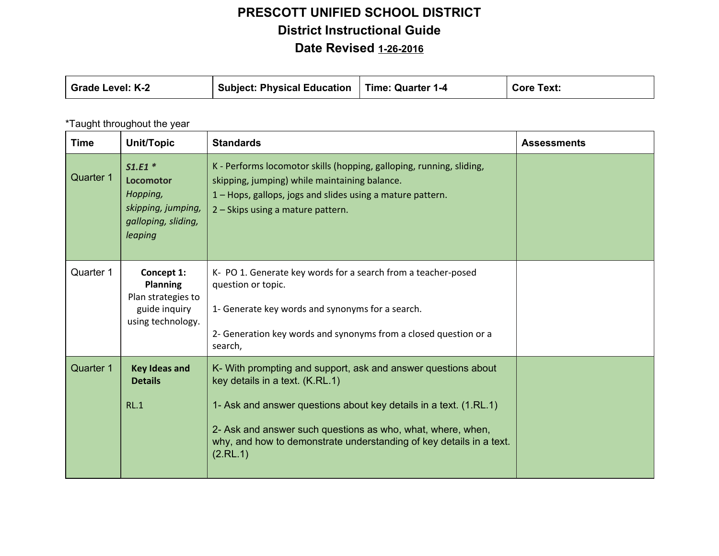| <b>Grade Level: K-2</b> | Subject: Physical Education !! | Time: Quarter 1-4 | <b>Core Text:</b> |
|-------------------------|--------------------------------|-------------------|-------------------|
|-------------------------|--------------------------------|-------------------|-------------------|

#### \*Taught throughout the year

| <b>Time</b>      | Unit/Topic                                                                                       | <b>Standards</b>                                                                                                                                                                                                                                                                                                        | <b>Assessments</b> |
|------------------|--------------------------------------------------------------------------------------------------|-------------------------------------------------------------------------------------------------------------------------------------------------------------------------------------------------------------------------------------------------------------------------------------------------------------------------|--------------------|
| <b>Quarter 1</b> | $S1.E1*$<br><b>Locomotor</b><br>Hopping,<br>skipping, jumping,<br>galloping, sliding,<br>leaping | K - Performs locomotor skills (hopping, galloping, running, sliding,<br>skipping, jumping) while maintaining balance.<br>1 – Hops, gallops, jogs and slides using a mature pattern.<br>2 – Skips using a mature pattern.                                                                                                |                    |
| Quarter 1        | Concept 1:<br><b>Planning</b><br>Plan strategies to<br>guide inquiry<br>using technology.        | K- PO 1. Generate key words for a search from a teacher-posed<br>question or topic.<br>1- Generate key words and synonyms for a search.<br>2- Generation key words and synonyms from a closed question or a<br>search,                                                                                                  |                    |
| <b>Quarter 1</b> | <b>Key Ideas and</b><br><b>Details</b><br>RL.1                                                   | K- With prompting and support, ask and answer questions about<br>key details in a text. (K.RL.1)<br>1- Ask and answer questions about key details in a text. (1.RL.1)<br>2- Ask and answer such questions as who, what, where, when,<br>why, and how to demonstrate understanding of key details in a text.<br>(2.RL.1) |                    |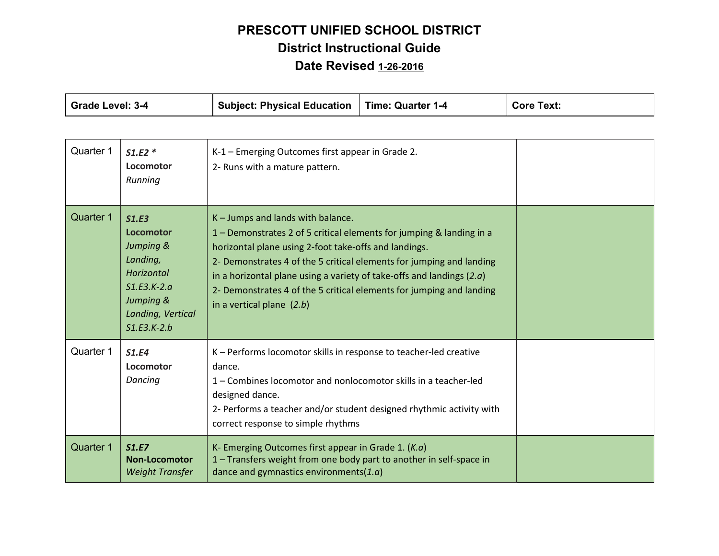| <b>Grade Level: 3-4</b> |                                                                                                                               | <b>Subject: Physical Education</b>                                                                                                                                                                                                                                                                                                                                                                                           | <b>Time: Quarter 1-4</b> | <b>Core Text:</b> |
|-------------------------|-------------------------------------------------------------------------------------------------------------------------------|------------------------------------------------------------------------------------------------------------------------------------------------------------------------------------------------------------------------------------------------------------------------------------------------------------------------------------------------------------------------------------------------------------------------------|--------------------------|-------------------|
| Quarter 1               | $S1.E2*$<br>Locomotor<br>Running                                                                                              | K-1 - Emerging Outcomes first appear in Grade 2.<br>2- Runs with a mature pattern.                                                                                                                                                                                                                                                                                                                                           |                          |                   |
| Quarter 1               | S1.E3<br>Locomotor<br>Jumping &<br>Landing,<br>Horizontal<br>$S1.E3.K-2.a$<br>Jumping &<br>Landing, Vertical<br>$S1.E3.K-2.b$ | K - Jumps and lands with balance.<br>1 – Demonstrates 2 of 5 critical elements for jumping & landing in a<br>horizontal plane using 2-foot take-offs and landings.<br>2- Demonstrates 4 of the 5 critical elements for jumping and landing<br>in a horizontal plane using a variety of take-offs and landings $(2.a)$<br>2- Demonstrates 4 of the 5 critical elements for jumping and landing<br>in a vertical plane $(2.b)$ |                          |                   |
| Quarter 1               | <b>S1.E4</b><br>Locomotor<br>Dancing                                                                                          | K - Performs locomotor skills in response to teacher-led creative<br>dance.<br>1 – Combines locomotor and nonlocomotor skills in a teacher-led<br>designed dance.<br>2- Performs a teacher and/or student designed rhythmic activity with<br>correct response to simple rhythms                                                                                                                                              |                          |                   |
| <b>Quarter 1</b>        | S1.E7<br><b>Non-Locomotor</b><br><b>Weight Transfer</b>                                                                       | K- Emerging Outcomes first appear in Grade 1. $(K.a)$<br>1 - Transfers weight from one body part to another in self-space in<br>dance and gymnastics environments $(1.a)$                                                                                                                                                                                                                                                    |                          |                   |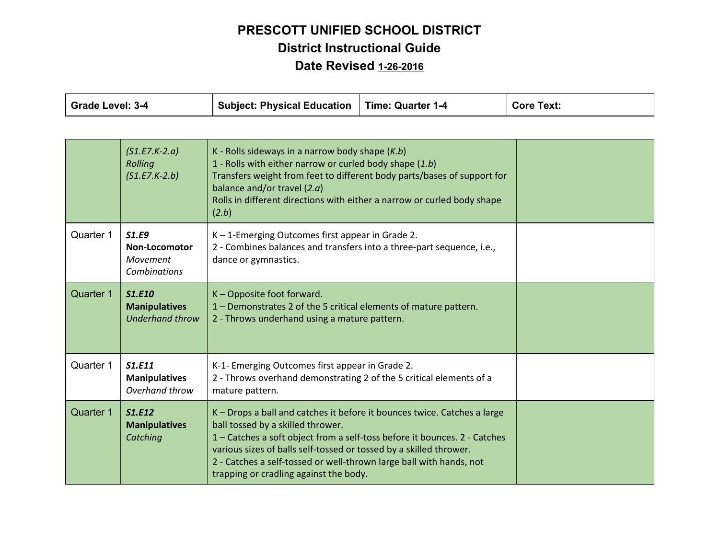| <b>Grade Level: 3-4</b> |                                                                         | <b>Subject: Physical Education</b>                                                                                                                                                                                                                                                                                                                                                | <b>Time: Quarter 1-4</b> | <b>Core Text:</b> |
|-------------------------|-------------------------------------------------------------------------|-----------------------------------------------------------------------------------------------------------------------------------------------------------------------------------------------------------------------------------------------------------------------------------------------------------------------------------------------------------------------------------|--------------------------|-------------------|
|                         |                                                                         |                                                                                                                                                                                                                                                                                                                                                                                   |                          |                   |
|                         | $(S1.E7.K-2.a)$<br>Rolling<br>$(S1.E7.K-2.b)$                           | K - Rolls sideways in a narrow body shape $(K.b)$<br>1 - Rolls with either narrow or curled body shape (1.b)<br>Transfers weight from feet to different body parts/bases of support for<br>balance and/or travel $(2.a)$<br>Rolls in different directions with either a narrow or curled body shape<br>(2.b)                                                                      |                          |                   |
| Quarter 1               | <b>S1.E9</b><br><b>Non-Locomotor</b><br>Movement<br><b>Combinations</b> | K-1-Emerging Outcomes first appear in Grade 2.<br>2 - Combines balances and transfers into a three-part sequence, i.e.,<br>dance or gymnastics.                                                                                                                                                                                                                                   |                          |                   |
| Quarter 1               | <b>S1.E10</b><br><b>Manipulatives</b><br><b>Underhand throw</b>         | K - Opposite foot forward.<br>1 - Demonstrates 2 of the 5 critical elements of mature pattern.<br>2 - Throws underhand using a mature pattern.                                                                                                                                                                                                                                    |                          |                   |
| Quarter 1               | S1.E11<br><b>Manipulatives</b><br>Overhand throw                        | K-1- Emerging Outcomes first appear in Grade 2.<br>2 - Throws overhand demonstrating 2 of the 5 critical elements of a<br>mature pattern.                                                                                                                                                                                                                                         |                          |                   |
| Quarter 1               | S1.E12<br><b>Manipulatives</b><br>Catching                              | K - Drops a ball and catches it before it bounces twice. Catches a large<br>ball tossed by a skilled thrower.<br>1 - Catches a soft object from a self-toss before it bounces. 2 - Catches<br>various sizes of balls self-tossed or tossed by a skilled thrower.<br>2 - Catches a self-tossed or well-thrown large ball with hands, not<br>trapping or cradling against the body. |                          |                   |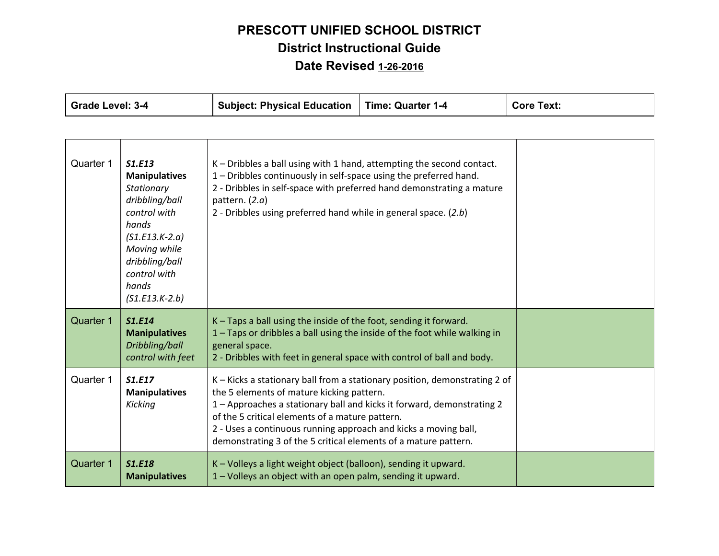| <b>Grade Level: 3-4</b> |                                                                                                                                                                                            | <b>Subject: Physical Education</b>                                                                                                                                                                                                                                                                                                                                                         | <b>Time: Quarter 1-4</b> | <b>Core Text:</b> |
|-------------------------|--------------------------------------------------------------------------------------------------------------------------------------------------------------------------------------------|--------------------------------------------------------------------------------------------------------------------------------------------------------------------------------------------------------------------------------------------------------------------------------------------------------------------------------------------------------------------------------------------|--------------------------|-------------------|
|                         |                                                                                                                                                                                            |                                                                                                                                                                                                                                                                                                                                                                                            |                          |                   |
| Quarter 1               | S1.E13<br><b>Manipulatives</b><br>Stationary<br>dribbling/ball<br>control with<br>hands<br>$(S1.E13.K-2.a)$<br>Moving while<br>dribbling/ball<br>control with<br>hands<br>$(S1.E13.K-2.b)$ | K - Dribbles a ball using with 1 hand, attempting the second contact.<br>1 - Dribbles continuously in self-space using the preferred hand.<br>2 - Dribbles in self-space with preferred hand demonstrating a mature<br>pattern. $(2.a)$<br>2 - Dribbles using preferred hand while in general space. (2.b)                                                                                 |                          |                   |
| Quarter 1               | <b>S1.E14</b><br><b>Manipulatives</b><br>Dribbling/ball<br>control with feet                                                                                                               | K – Taps a ball using the inside of the foot, sending it forward.<br>1 - Taps or dribbles a ball using the inside of the foot while walking in<br>general space.<br>2 - Dribbles with feet in general space with control of ball and body.                                                                                                                                                 |                          |                   |
| Quarter 1               | S1.E17<br><b>Manipulatives</b><br>Kicking                                                                                                                                                  | K - Kicks a stationary ball from a stationary position, demonstrating 2 of<br>the 5 elements of mature kicking pattern.<br>1 - Approaches a stationary ball and kicks it forward, demonstrating 2<br>of the 5 critical elements of a mature pattern.<br>2 - Uses a continuous running approach and kicks a moving ball,<br>demonstrating 3 of the 5 critical elements of a mature pattern. |                          |                   |
| <b>Quarter 1</b>        | <b>S1.E18</b><br><b>Manipulatives</b>                                                                                                                                                      | K - Volleys a light weight object (balloon), sending it upward.<br>1 - Volleys an object with an open palm, sending it upward.                                                                                                                                                                                                                                                             |                          |                   |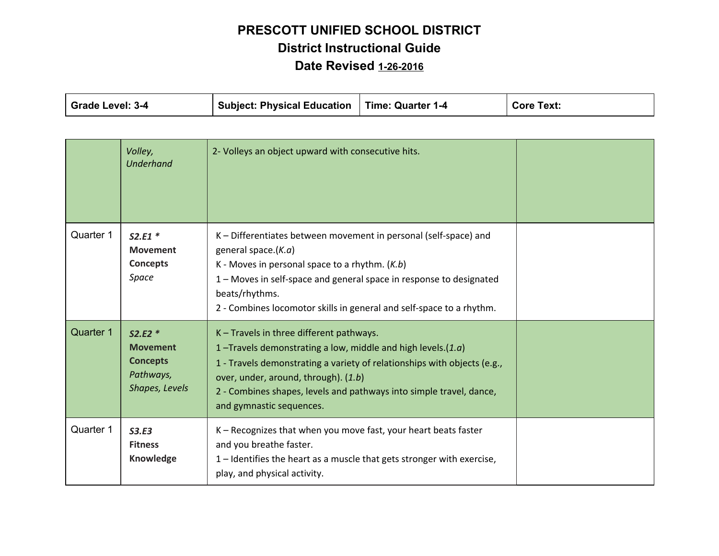| Grade Level: 3-4<br><b>Subject: Physical Education</b> | Time: Quarter 1-4 | <b>Core Text:</b> |
|--------------------------------------------------------|-------------------|-------------------|
|--------------------------------------------------------|-------------------|-------------------|

|           | Volley,<br><b>Underhand</b>                                                   | 2- Volleys an object upward with consecutive hits.                                                                                                                                                                                                                                                                                |  |
|-----------|-------------------------------------------------------------------------------|-----------------------------------------------------------------------------------------------------------------------------------------------------------------------------------------------------------------------------------------------------------------------------------------------------------------------------------|--|
| Quarter 1 | $S2.E1*$<br><b>Movement</b><br>Concepts<br>Space                              | K - Differentiates between movement in personal (self-space) and<br>general space. $(K.a)$<br>K - Moves in personal space to a rhythm. $(K.b)$<br>1 – Moves in self-space and general space in response to designated<br>beats/rhythms.<br>2 - Combines locomotor skills in general and self-space to a rhythm.                   |  |
| Quarter 1 | $S2.E2*$<br><b>Movement</b><br><b>Concepts</b><br>Pathways,<br>Shapes, Levels | K - Travels in three different pathways.<br>1-Travels demonstrating a low, middle and high levels. $(1.a)$<br>1 - Travels demonstrating a variety of relationships with objects (e.g.,<br>over, under, around, through). (1.b)<br>2 - Combines shapes, levels and pathways into simple travel, dance,<br>and gymnastic sequences. |  |
| Quarter 1 | S3.E3<br><b>Fitness</b><br>Knowledge                                          | K - Recognizes that when you move fast, your heart beats faster<br>and you breathe faster.<br>1 – Identifies the heart as a muscle that gets stronger with exercise,<br>play, and physical activity.                                                                                                                              |  |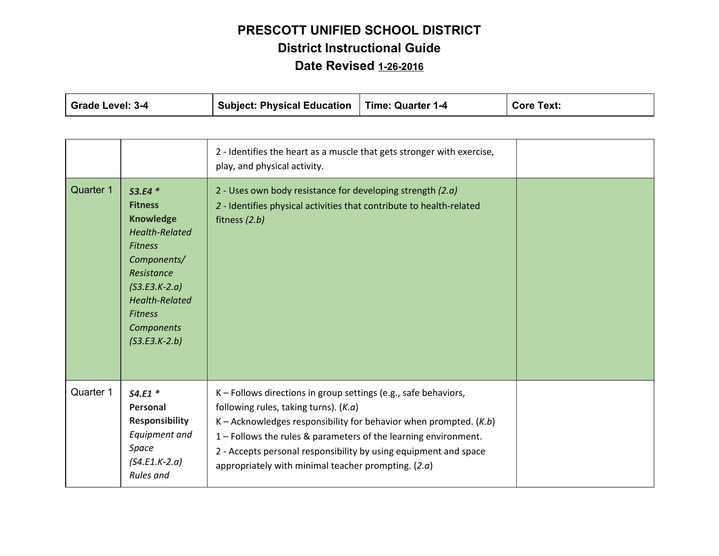| <b>Grade Level: 3-4</b> |                                                                                                                                                                                                                              | <b>Subject: Physical Education</b>                                                                                                                                                                                                                                                                                                                                                | <b>Time: Quarter 1-4</b> | <b>Core Text:</b> |
|-------------------------|------------------------------------------------------------------------------------------------------------------------------------------------------------------------------------------------------------------------------|-----------------------------------------------------------------------------------------------------------------------------------------------------------------------------------------------------------------------------------------------------------------------------------------------------------------------------------------------------------------------------------|--------------------------|-------------------|
|                         |                                                                                                                                                                                                                              |                                                                                                                                                                                                                                                                                                                                                                                   |                          |                   |
|                         |                                                                                                                                                                                                                              | 2 - Identifies the heart as a muscle that gets stronger with exercise,<br>play, and physical activity.                                                                                                                                                                                                                                                                            |                          |                   |
| Quarter 1               | $S3.E4*$<br><b>Fitness</b><br><b>Knowledge</b><br><b>Health-Related</b><br><b>Fitness</b><br>Components/<br>Resistance<br>$(S3.E3.K-2.a)$<br><b>Health-Related</b><br><b>Fitness</b><br><b>Components</b><br>$(S3.E3.K-2.b)$ | 2 - Uses own body resistance for developing strength $(2.a)$<br>2 - Identifies physical activities that contribute to health-related<br>fitness (2.b)                                                                                                                                                                                                                             |                          |                   |
| Quarter 1               | $S4.E1*$<br>Personal<br><b>Responsibility</b><br>Equipment and<br>Space<br>$(S4.E1.K-2.a)$<br><b>Rules</b> and                                                                                                               | K - Follows directions in group settings (e.g., safe behaviors,<br>following rules, taking turns). $(K.a)$<br>K – Acknowledges responsibility for behavior when prompted. $(K.b)$<br>1 - Follows the rules & parameters of the learning environment.<br>2 - Accepts personal responsibility by using equipment and space<br>appropriately with minimal teacher prompting. $(2.a)$ |                          |                   |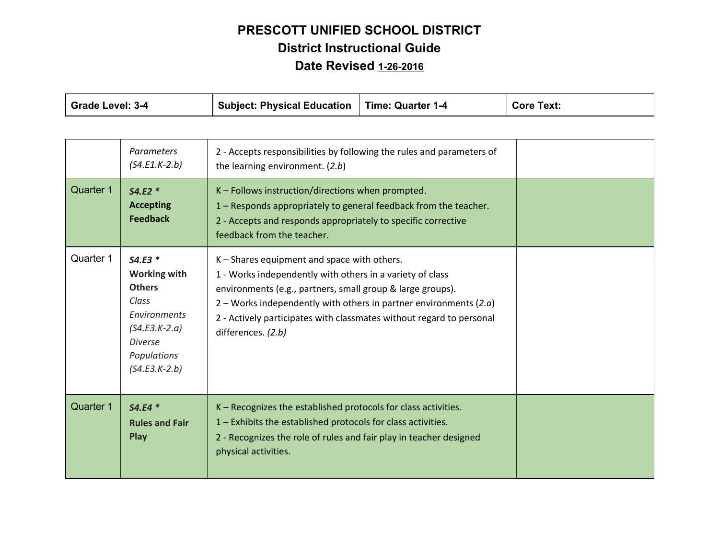| Grade Level: 3-4 |                                                                                                                                                  | <b>Subject: Physical Education</b>                                                                                                                                                                                                                                                                                                          | <b>Time: Quarter 1-4</b> | <b>Core Text:</b> |
|------------------|--------------------------------------------------------------------------------------------------------------------------------------------------|---------------------------------------------------------------------------------------------------------------------------------------------------------------------------------------------------------------------------------------------------------------------------------------------------------------------------------------------|--------------------------|-------------------|
|                  |                                                                                                                                                  |                                                                                                                                                                                                                                                                                                                                             |                          |                   |
|                  | <b>Parameters</b><br>$(S4.E1.K-2.b)$                                                                                                             | 2 - Accepts responsibilities by following the rules and parameters of<br>the learning environment. (2.b)                                                                                                                                                                                                                                    |                          |                   |
| Quarter 1        | $S4.E2*$<br><b>Accepting</b><br><b>Feedback</b>                                                                                                  | K - Follows instruction/directions when prompted.<br>1 – Responds appropriately to general feedback from the teacher.<br>2 - Accepts and responds appropriately to specific corrective<br>feedback from the teacher.                                                                                                                        |                          |                   |
| Quarter 1        | $S4.E3*$<br><b>Working with</b><br><b>Others</b><br>Class<br>Environments<br>$(S4.E3.K-2.a)$<br><b>Diverse</b><br>Populations<br>$(S4.E3.K-2.b)$ | K - Shares equipment and space with others.<br>1 - Works independently with others in a variety of class<br>environments (e.g., partners, small group & large groups).<br>2 – Works independently with others in partner environments $(2.a)$<br>2 - Actively participates with classmates without regard to personal<br>differences. (2.b) |                          |                   |
| <b>Quarter 1</b> | $S4.E4*$<br><b>Rules and Fair</b><br><b>Play</b>                                                                                                 | K - Recognizes the established protocols for class activities.<br>1 - Exhibits the established protocols for class activities.<br>2 - Recognizes the role of rules and fair play in teacher designed<br>physical activities.                                                                                                                |                          |                   |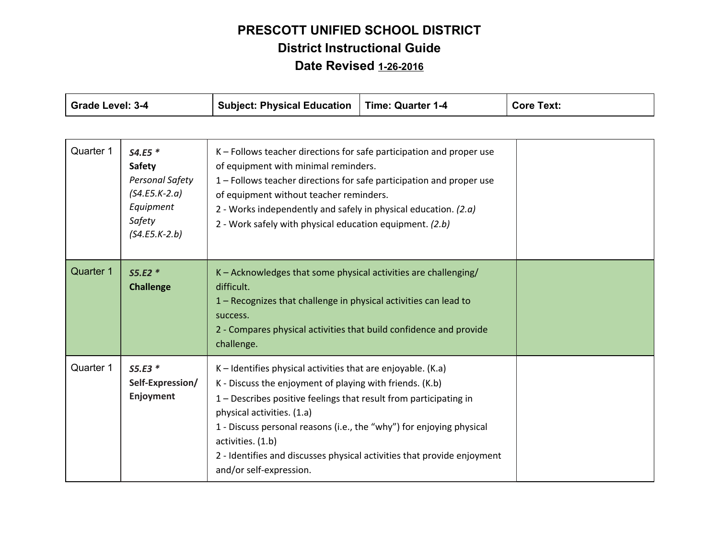| <b>Grade Level: 3-4</b> |                                                                                                           | <b>Subject: Physical Education</b>                                                                                                                                                                                                                                                                                                                                                                                               | <b>Time: Quarter 1-4</b> | <b>Core Text:</b> |
|-------------------------|-----------------------------------------------------------------------------------------------------------|----------------------------------------------------------------------------------------------------------------------------------------------------------------------------------------------------------------------------------------------------------------------------------------------------------------------------------------------------------------------------------------------------------------------------------|--------------------------|-------------------|
|                         |                                                                                                           |                                                                                                                                                                                                                                                                                                                                                                                                                                  |                          |                   |
| Quarter 1               | $S4.E5*$<br><b>Safety</b><br>Personal Safety<br>$(S4.E5.K-2.a)$<br>Equipment<br>Safety<br>$(S4.E5.K-2.b)$ | K – Follows teacher directions for safe participation and proper use<br>of equipment with minimal reminders.<br>1 - Follows teacher directions for safe participation and proper use<br>of equipment without teacher reminders.<br>2 - Works independently and safely in physical education. $(2.a)$<br>2 - Work safely with physical education equipment. (2.b)                                                                 |                          |                   |
| Quarter 1               | $S5.E2*$<br><b>Challenge</b>                                                                              | K - Acknowledges that some physical activities are challenging/<br>difficult.<br>1 - Recognizes that challenge in physical activities can lead to<br>success.<br>2 - Compares physical activities that build confidence and provide<br>challenge.                                                                                                                                                                                |                          |                   |
| Quarter 1               | $S5.E3*$<br>Self-Expression/<br>Enjoyment                                                                 | $K$ – Identifies physical activities that are enjoyable. (K.a)<br>K - Discuss the enjoyment of playing with friends. (K.b)<br>1 - Describes positive feelings that result from participating in<br>physical activities. (1.a)<br>1 - Discuss personal reasons (i.e., the "why") for enjoying physical<br>activities. (1.b)<br>2 - Identifies and discusses physical activities that provide enjoyment<br>and/or self-expression. |                          |                   |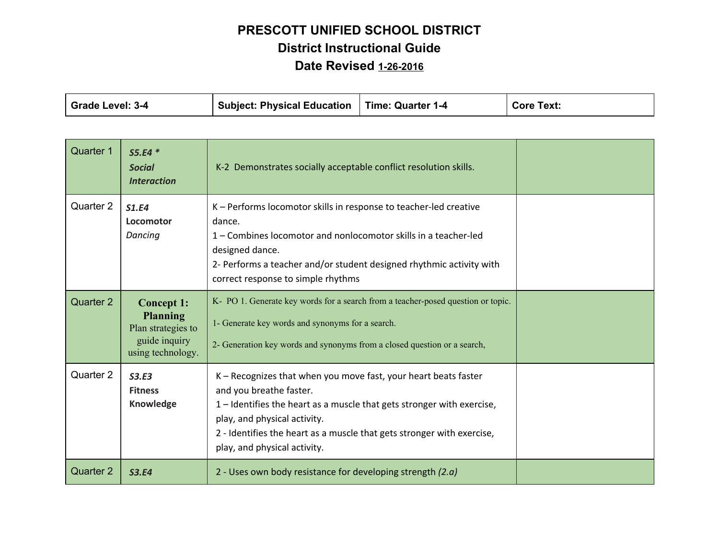| Time: Quarter 1-4 | <b>Core Text:</b>                |
|-------------------|----------------------------------|
|                   | Subject: Physical Education $\ $ |

| <b>Quarter 1</b> | $S5.E4*$<br><b>Social</b><br><b>Interaction</b>                                                  | K-2 Demonstrates socially acceptable conflict resolution skills.                                                                                                                                                                                                                                               |  |
|------------------|--------------------------------------------------------------------------------------------------|----------------------------------------------------------------------------------------------------------------------------------------------------------------------------------------------------------------------------------------------------------------------------------------------------------------|--|
| Quarter 2        | S1.E4<br>Locomotor<br>Dancing                                                                    | K - Performs locomotor skills in response to teacher-led creative<br>dance.<br>1 – Combines locomotor and nonlocomotor skills in a teacher-led<br>designed dance.<br>2- Performs a teacher and/or student designed rhythmic activity with<br>correct response to simple rhythms                                |  |
| Quarter 2        | <b>Concept 1:</b><br><b>Planning</b><br>Plan strategies to<br>guide inquiry<br>using technology. | K- PO 1. Generate key words for a search from a teacher-posed question or topic.<br>1- Generate key words and synonyms for a search.<br>2- Generation key words and synonyms from a closed question or a search,                                                                                               |  |
| Quarter 2        | S3.E3<br><b>Fitness</b><br>Knowledge                                                             | K – Recognizes that when you move fast, your heart beats faster<br>and you breathe faster.<br>1 – Identifies the heart as a muscle that gets stronger with exercise,<br>play, and physical activity.<br>2 - Identifies the heart as a muscle that gets stronger with exercise,<br>play, and physical activity. |  |
| <b>Quarter 2</b> | <b>S3.E4</b>                                                                                     | 2 - Uses own body resistance for developing strength $(2.a)$                                                                                                                                                                                                                                                   |  |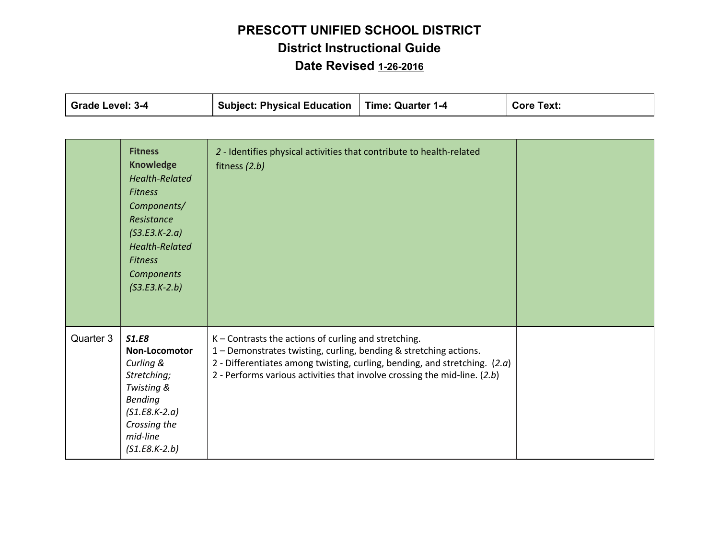| <b>Grade Level: 3-4</b> |                                                                                                                                                                                                                  | <b>Subject: Physical Education</b>                                                                                                                                                                                                                                                   | <b>Time: Quarter 1-4</b> | <b>Core Text:</b> |
|-------------------------|------------------------------------------------------------------------------------------------------------------------------------------------------------------------------------------------------------------|--------------------------------------------------------------------------------------------------------------------------------------------------------------------------------------------------------------------------------------------------------------------------------------|--------------------------|-------------------|
|                         |                                                                                                                                                                                                                  |                                                                                                                                                                                                                                                                                      |                          |                   |
|                         | <b>Fitness</b><br><b>Knowledge</b><br><b>Health-Related</b><br><b>Fitness</b><br>Components/<br>Resistance<br>$(S3.E3.K-2.a)$<br><b>Health-Related</b><br><b>Fitness</b><br><b>Components</b><br>$(S3.E3.K-2.b)$ | 2 - Identifies physical activities that contribute to health-related<br>fitness $(2.b)$                                                                                                                                                                                              |                          |                   |
| Quarter 3               | <b>S1.E8</b><br>Non-Locomotor<br>Curling &<br>Stretching;<br>Twisting &<br><b>Bending</b><br>$(S1.E8.K-2.a)$<br>Crossing the<br>mid-line<br>$(S1.E8.K-2.b)$                                                      | K-Contrasts the actions of curling and stretching.<br>1 - Demonstrates twisting, curling, bending & stretching actions.<br>2 - Differentiates among twisting, curling, bending, and stretching. $(2.a)$<br>2 - Performs various activities that involve crossing the mid-line. (2.b) |                          |                   |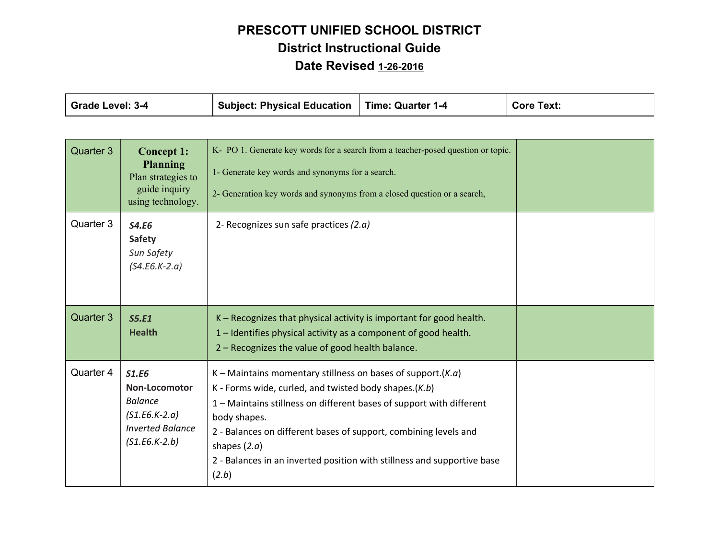| <b>Grade Level: 3-4</b> |                                                                                                                         | <b>Subject: Physical Education</b>                                                                                                                                                                                                                                                                                                                                                           | <b>Time: Quarter 1-4</b> | <b>Core Text:</b> |  |
|-------------------------|-------------------------------------------------------------------------------------------------------------------------|----------------------------------------------------------------------------------------------------------------------------------------------------------------------------------------------------------------------------------------------------------------------------------------------------------------------------------------------------------------------------------------------|--------------------------|-------------------|--|
|                         |                                                                                                                         |                                                                                                                                                                                                                                                                                                                                                                                              |                          |                   |  |
| Quarter 3               | <b>Concept 1:</b><br><b>Planning</b><br>Plan strategies to<br>guide inquiry<br>using technology.                        | K- PO 1. Generate key words for a search from a teacher-posed question or topic.<br>1- Generate key words and synonyms for a search.<br>2- Generation key words and synonyms from a closed question or a search,                                                                                                                                                                             |                          |                   |  |
| Quarter 3               | <b>S4.E6</b><br><b>Safety</b><br>Sun Safety<br>$(S4.E6.K-2.a)$                                                          | 2- Recognizes sun safe practices (2.a)                                                                                                                                                                                                                                                                                                                                                       |                          |                   |  |
| Quarter 3               | S5.E1<br><b>Health</b>                                                                                                  | K - Recognizes that physical activity is important for good health.<br>1 - Identifies physical activity as a component of good health.<br>2 - Recognizes the value of good health balance.                                                                                                                                                                                                   |                          |                   |  |
| Quarter 4               | <b>S1.E6</b><br><b>Non-Locomotor</b><br><b>Balance</b><br>$(S1.E6.K-2.a)$<br><b>Inverted Balance</b><br>$(51.E6.K-2.b)$ | K – Maintains momentary stillness on bases of support. $(K.a)$<br>K - Forms wide, curled, and twisted body shapes. $(K.b)$<br>1 - Maintains stillness on different bases of support with different<br>body shapes.<br>2 - Balances on different bases of support, combining levels and<br>shapes $(2.a)$<br>2 - Balances in an inverted position with stillness and supportive base<br>(2.b) |                          |                   |  |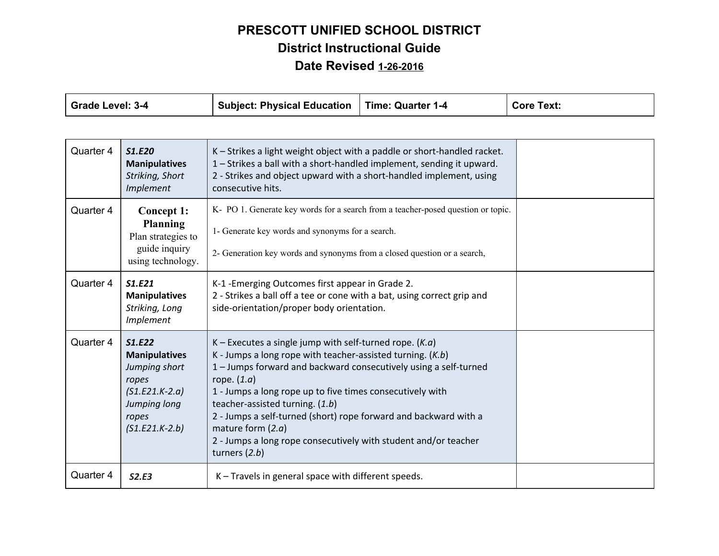| <b>Grade Level: 3-4</b> |                                                                                                                           | <b>Subject: Physical Education</b>                                                                                                                                                                                                                                                                                                                                                                                                                                                              | <b>Time: Quarter 1-4</b> | <b>Core Text:</b> |
|-------------------------|---------------------------------------------------------------------------------------------------------------------------|-------------------------------------------------------------------------------------------------------------------------------------------------------------------------------------------------------------------------------------------------------------------------------------------------------------------------------------------------------------------------------------------------------------------------------------------------------------------------------------------------|--------------------------|-------------------|
|                         |                                                                                                                           |                                                                                                                                                                                                                                                                                                                                                                                                                                                                                                 |                          |                   |
| Quarter 4               | <b>S1.E20</b><br><b>Manipulatives</b><br>Striking, Short<br>Implement                                                     | K - Strikes a light weight object with a paddle or short-handled racket.<br>1 - Strikes a ball with a short-handled implement, sending it upward.<br>2 - Strikes and object upward with a short-handled implement, using<br>consecutive hits.                                                                                                                                                                                                                                                   |                          |                   |
| Quarter 4               | Concept 1:<br>Planning<br>Plan strategies to<br>guide inquiry<br>using technology.                                        | K- PO 1. Generate key words for a search from a teacher-posed question or topic.<br>1- Generate key words and synonyms for a search.<br>2- Generation key words and synonyms from a closed question or a search,                                                                                                                                                                                                                                                                                |                          |                   |
| Quarter 4               | S1.E21<br><b>Manipulatives</b><br>Striking, Long<br>Implement                                                             | K-1 - Emerging Outcomes first appear in Grade 2.<br>2 - Strikes a ball off a tee or cone with a bat, using correct grip and<br>side-orientation/proper body orientation.                                                                                                                                                                                                                                                                                                                        |                          |                   |
| Quarter 4               | S1.E22<br><b>Manipulatives</b><br>Jumping short<br>ropes<br>$(S1.E21.K-2.a)$<br>Jumping long<br>ropes<br>$(S1.E21.K-2.b)$ | K – Executes a single jump with self-turned rope. $(K.a)$<br>K - Jumps a long rope with teacher-assisted turning. $(K.b)$<br>1 - Jumps forward and backward consecutively using a self-turned<br>rope. $(1.a)$<br>1 - Jumps a long rope up to five times consecutively with<br>teacher-assisted turning. (1.b)<br>2 - Jumps a self-turned (short) rope forward and backward with a<br>mature form $(2.a)$<br>2 - Jumps a long rope consecutively with student and/or teacher<br>turners $(2.b)$ |                          |                   |
| Quarter 4               | S2.E3                                                                                                                     | K - Travels in general space with different speeds.                                                                                                                                                                                                                                                                                                                                                                                                                                             |                          |                   |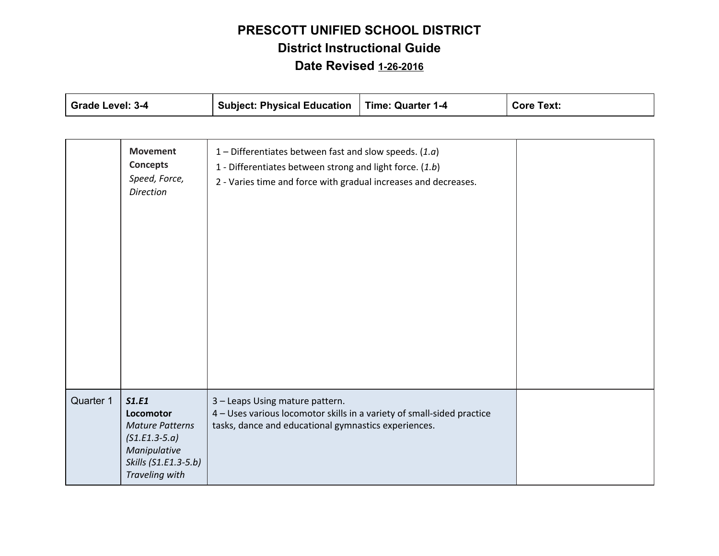| Grade Level: 3-4 |                                                                                                                           | <b>Subject: Physical Education</b>                                                                                                                                                      | <b>Time: Quarter 1-4</b> | <b>Core Text:</b> |
|------------------|---------------------------------------------------------------------------------------------------------------------------|-----------------------------------------------------------------------------------------------------------------------------------------------------------------------------------------|--------------------------|-------------------|
|                  |                                                                                                                           |                                                                                                                                                                                         |                          |                   |
|                  | <b>Movement</b><br><b>Concepts</b><br>Speed, Force,<br><b>Direction</b>                                                   | 1 – Differentiates between fast and slow speeds. $(1.a)$<br>1 - Differentiates between strong and light force. (1.b)<br>2 - Varies time and force with gradual increases and decreases. |                          |                   |
| Quarter 1        | S1.E1<br>Locomotor<br><b>Mature Patterns</b><br>$(S1.E1.3-5.a)$<br>Manipulative<br>Skills (S1.E1.3-5.b)<br>Traveling with | 3 - Leaps Using mature pattern.<br>4 - Uses various locomotor skills in a variety of small-sided practice<br>tasks, dance and educational gymnastics experiences.                       |                          |                   |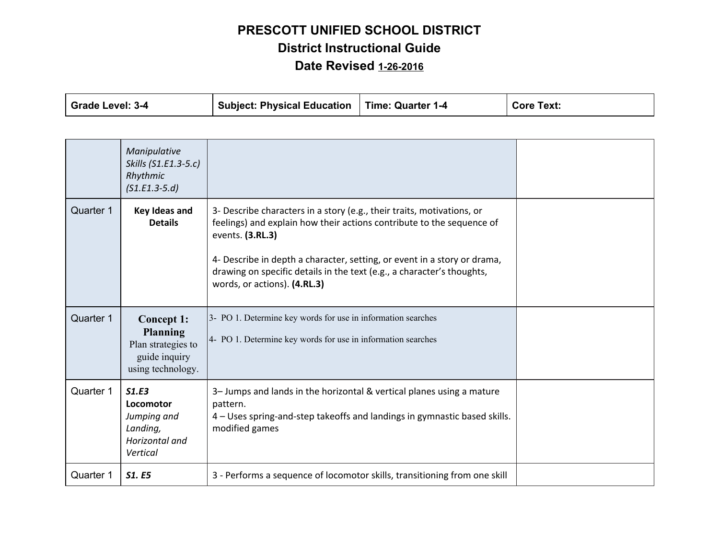| <b>Core Text:</b>                               |
|-------------------------------------------------|
| Subject: Physical Education   Time: Quarter 1-4 |

|           | Manipulative<br>Skills (S1.E1.3-5.c)<br>Rhythmic<br>$(S1.E1.3-5.d)$                              |                                                                                                                                                                                                                                                                                                                                                           |  |
|-----------|--------------------------------------------------------------------------------------------------|-----------------------------------------------------------------------------------------------------------------------------------------------------------------------------------------------------------------------------------------------------------------------------------------------------------------------------------------------------------|--|
| Quarter 1 | Key Ideas and<br><b>Details</b>                                                                  | 3- Describe characters in a story (e.g., their traits, motivations, or<br>feelings) and explain how their actions contribute to the sequence of<br>events. (3.RL.3)<br>4- Describe in depth a character, setting, or event in a story or drama,<br>drawing on specific details in the text (e.g., a character's thoughts,<br>words, or actions). (4.RL.3) |  |
| Quarter 1 | <b>Concept 1:</b><br><b>Planning</b><br>Plan strategies to<br>guide inquiry<br>using technology. | 3- PO 1. Determine key words for use in information searches<br>4- PO 1. Determine key words for use in information searches                                                                                                                                                                                                                              |  |
| Quarter 1 | S1.E3<br>Locomotor<br>Jumping and<br>Landing,<br>Horizontal and<br>Vertical                      | 3- Jumps and lands in the horizontal & vertical planes using a mature<br>pattern.<br>4 – Uses spring-and-step takeoffs and landings in gymnastic based skills.<br>modified games                                                                                                                                                                          |  |
| Quarter 1 | <b>S1. E5</b>                                                                                    | 3 - Performs a sequence of locomotor skills, transitioning from one skill                                                                                                                                                                                                                                                                                 |  |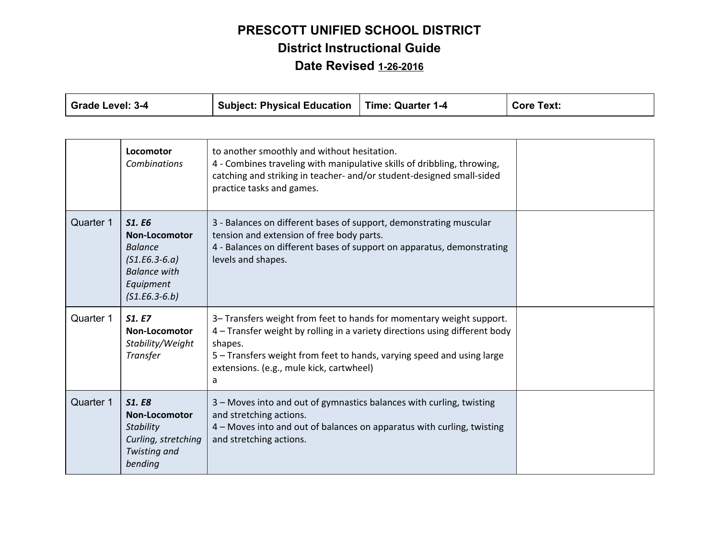| <b>Grade Level: 3-4</b> |                                                                                                                                   | <b>Subject: Physical Education</b>                                                                                                                                                                                                                                                        | <b>Time: Quarter 1-4</b> | <b>Core Text:</b> |
|-------------------------|-----------------------------------------------------------------------------------------------------------------------------------|-------------------------------------------------------------------------------------------------------------------------------------------------------------------------------------------------------------------------------------------------------------------------------------------|--------------------------|-------------------|
|                         |                                                                                                                                   |                                                                                                                                                                                                                                                                                           |                          |                   |
|                         | Locomotor<br><b>Combinations</b>                                                                                                  | to another smoothly and without hesitation.<br>4 - Combines traveling with manipulative skills of dribbling, throwing,<br>catching and striking in teacher- and/or student-designed small-sided<br>practice tasks and games.                                                              |                          |                   |
| Quarter 1               | <b>S1. E6</b><br><b>Non-Locomotor</b><br><b>Balance</b><br>$(51.E6.3-6.a)$<br><b>Balance with</b><br>Equipment<br>$(S1.E6.3-6.b)$ | 3 - Balances on different bases of support, demonstrating muscular<br>tension and extension of free body parts.<br>4 - Balances on different bases of support on apparatus, demonstrating<br>levels and shapes.                                                                           |                          |                   |
| Quarter 1               | <b>S1. E7</b><br>Non-Locomotor<br>Stability/Weight<br>Transfer                                                                    | 3- Transfers weight from feet to hands for momentary weight support.<br>4 – Transfer weight by rolling in a variety directions using different body<br>shapes.<br>5 - Transfers weight from feet to hands, varying speed and using large<br>extensions. (e.g., mule kick, cartwheel)<br>a |                          |                   |
| Quarter 1               | <b>S1. E8</b><br>Non-Locomotor<br><b>Stability</b><br>Curling, stretching<br>Twisting and<br>bending                              | 3 - Moves into and out of gymnastics balances with curling, twisting<br>and stretching actions.<br>4 - Moves into and out of balances on apparatus with curling, twisting<br>and stretching actions.                                                                                      |                          |                   |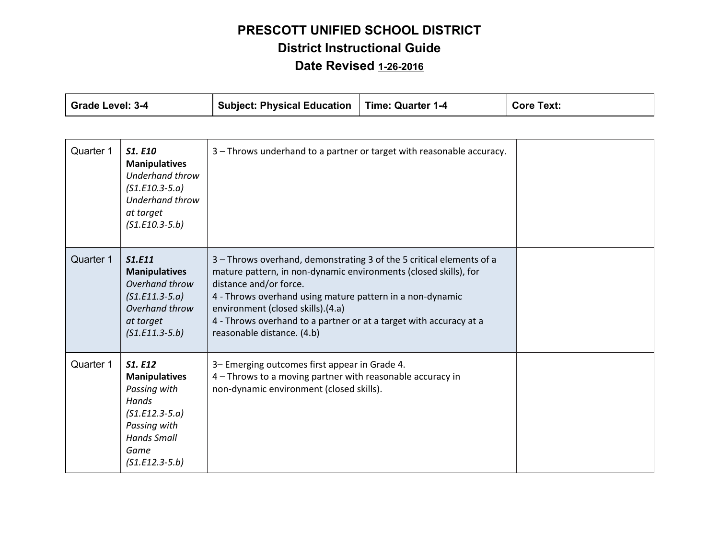| <b>Grade Level: 3-4</b> |                                                                                                                                                 | <b>Subject: Physical Education</b>                                                                                                                                                                                                                                                                                                                                       | <b>Time: Quarter 1-4</b> | <b>Core Text:</b> |
|-------------------------|-------------------------------------------------------------------------------------------------------------------------------------------------|--------------------------------------------------------------------------------------------------------------------------------------------------------------------------------------------------------------------------------------------------------------------------------------------------------------------------------------------------------------------------|--------------------------|-------------------|
|                         |                                                                                                                                                 |                                                                                                                                                                                                                                                                                                                                                                          |                          |                   |
| Quarter 1               | <b>S1. E10</b><br><b>Manipulatives</b><br><b>Underhand throw</b><br>$(S1.E10.3-5.a)$<br><b>Underhand throw</b><br>at target<br>$(S1.E10.3-5.b)$ | 3 - Throws underhand to a partner or target with reasonable accuracy.                                                                                                                                                                                                                                                                                                    |                          |                   |
| Quarter 1               | <b>S1.E11</b><br><b>Manipulatives</b><br>Overhand throw<br>$(S1.E11.3-5.a)$<br>Overhand throw<br>at target<br>$(S1.E11.3-5.b)$                  | 3 - Throws overhand, demonstrating 3 of the 5 critical elements of a<br>mature pattern, in non-dynamic environments (closed skills), for<br>distance and/or force.<br>4 - Throws overhand using mature pattern in a non-dynamic<br>environment (closed skills).(4.a)<br>4 - Throws overhand to a partner or at a target with accuracy at a<br>reasonable distance. (4.b) |                          |                   |
| Quarter 1               | S1. E12<br><b>Manipulatives</b><br>Passing with<br>Hands<br>$(S1.E12.3-5.a)$<br>Passing with<br><b>Hands Small</b><br>Game<br>$(S1.E12.3-5.b)$  | 3- Emerging outcomes first appear in Grade 4.<br>4 - Throws to a moving partner with reasonable accuracy in<br>non-dynamic environment (closed skills).                                                                                                                                                                                                                  |                          |                   |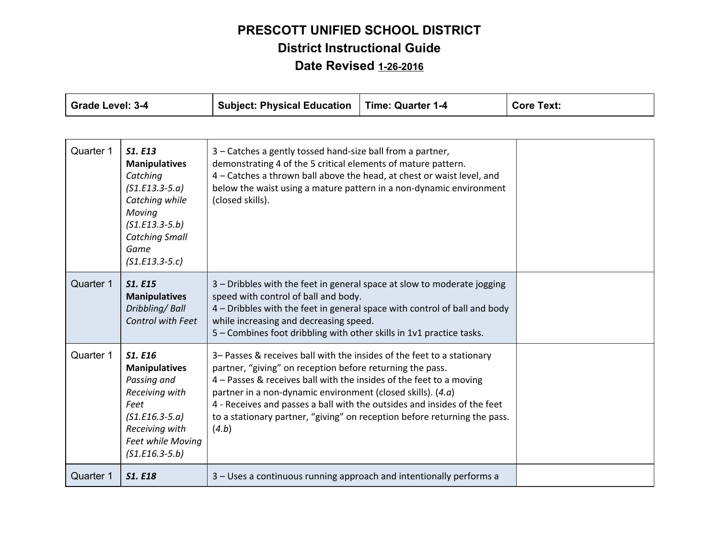| <b>Grade Level: 3-4</b> |                                                                                                                                                                             | <b>Subject: Physical Education</b>                                                                                                                                                                                                                                                                                                                                                                                                            | <b>Time: Quarter 1-4</b> | <b>Core Text:</b> |
|-------------------------|-----------------------------------------------------------------------------------------------------------------------------------------------------------------------------|-----------------------------------------------------------------------------------------------------------------------------------------------------------------------------------------------------------------------------------------------------------------------------------------------------------------------------------------------------------------------------------------------------------------------------------------------|--------------------------|-------------------|
|                         |                                                                                                                                                                             |                                                                                                                                                                                                                                                                                                                                                                                                                                               |                          |                   |
| Quarter 1               | <b>S1. E13</b><br><b>Manipulatives</b><br>Catching<br>$(S1.E13.3-5.a)$<br>Catching while<br>Moving<br>$(S1.E13.3-5.b)$<br><b>Catching Small</b><br>Game<br>$(S1.E13.3-5.c)$ | 3 – Catches a gently tossed hand-size ball from a partner,<br>demonstrating 4 of the 5 critical elements of mature pattern.<br>4 - Catches a thrown ball above the head, at chest or waist level, and<br>below the waist using a mature pattern in a non-dynamic environment<br>(closed skills).                                                                                                                                              |                          |                   |
| Quarter 1               | <b>S1. E15</b><br><b>Manipulatives</b><br>Dribbling/Ball<br>Control with Feet                                                                                               | 3 - Dribbles with the feet in general space at slow to moderate jogging<br>speed with control of ball and body.<br>4 - Dribbles with the feet in general space with control of ball and body<br>while increasing and decreasing speed.<br>5 - Combines foot dribbling with other skills in 1v1 practice tasks.                                                                                                                                |                          |                   |
| Quarter 1               | <b>S1. E16</b><br><b>Manipulatives</b><br>Passing and<br>Receiving with<br>Feet<br>$(S1.E16.3-5.a)$<br>Receiving with<br>Feet while Moving<br>$(S1.E16.3-5.b)$              | 3- Passes & receives ball with the insides of the feet to a stationary<br>partner, "giving" on reception before returning the pass.<br>4 - Passes & receives ball with the insides of the feet to a moving<br>partner in a non-dynamic environment (closed skills). $(4.a)$<br>4 - Receives and passes a ball with the outsides and insides of the feet<br>to a stationary partner, "giving" on reception before returning the pass.<br>(4.b) |                          |                   |
| Quarter 1               | <b>S1. E18</b>                                                                                                                                                              | 3 – Uses a continuous running approach and intentionally performs a                                                                                                                                                                                                                                                                                                                                                                           |                          |                   |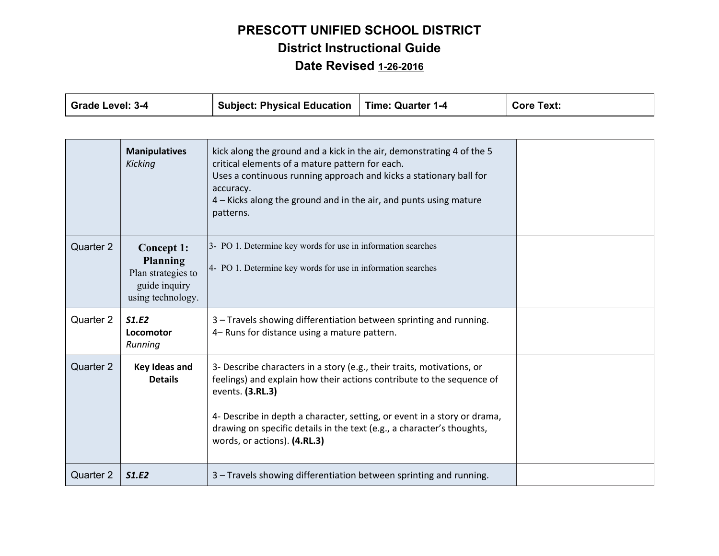| <b>Grade Level: 3-4</b> |                                                                                                  | <b>Subject: Physical Education</b>                                                                                                                                                                                                                                                                                                                        | <b>Time: Quarter 1-4</b> | <b>Core Text:</b> |
|-------------------------|--------------------------------------------------------------------------------------------------|-----------------------------------------------------------------------------------------------------------------------------------------------------------------------------------------------------------------------------------------------------------------------------------------------------------------------------------------------------------|--------------------------|-------------------|
|                         |                                                                                                  |                                                                                                                                                                                                                                                                                                                                                           |                          |                   |
|                         | <b>Manipulatives</b><br>Kicking                                                                  | kick along the ground and a kick in the air, demonstrating 4 of the 5<br>critical elements of a mature pattern for each.<br>Uses a continuous running approach and kicks a stationary ball for<br>accuracy.<br>4 – Kicks along the ground and in the air, and punts using mature<br>patterns.                                                             |                          |                   |
| Quarter 2               | <b>Concept 1:</b><br><b>Planning</b><br>Plan strategies to<br>guide inquiry<br>using technology. | 3- PO 1. Determine key words for use in information searches<br>4- PO 1. Determine key words for use in information searches                                                                                                                                                                                                                              |                          |                   |
| Quarter 2               | S1.E2<br>Locomotor<br>Running                                                                    | 3 - Travels showing differentiation between sprinting and running.<br>4- Runs for distance using a mature pattern.                                                                                                                                                                                                                                        |                          |                   |
| Quarter 2               | Key Ideas and<br><b>Details</b>                                                                  | 3- Describe characters in a story (e.g., their traits, motivations, or<br>feelings) and explain how their actions contribute to the sequence of<br>events. (3.RL.3)<br>4- Describe in depth a character, setting, or event in a story or drama,<br>drawing on specific details in the text (e.g., a character's thoughts,<br>words, or actions). (4.RL.3) |                          |                   |
| Quarter 2               | <b>S1.E2</b>                                                                                     | 3 - Travels showing differentiation between sprinting and running.                                                                                                                                                                                                                                                                                        |                          |                   |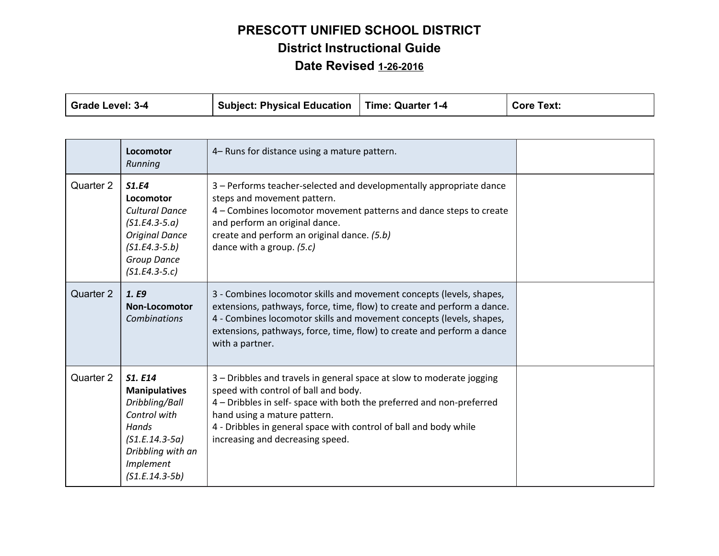| <b>Grade Level: 3-4</b> |                                                                                                                                                      | <b>Subject: Physical Education</b>                                                                                                                                                                                                                                                                                              | <b>Time: Quarter 1-4</b> | <b>Core Text:</b> |
|-------------------------|------------------------------------------------------------------------------------------------------------------------------------------------------|---------------------------------------------------------------------------------------------------------------------------------------------------------------------------------------------------------------------------------------------------------------------------------------------------------------------------------|--------------------------|-------------------|
|                         |                                                                                                                                                      |                                                                                                                                                                                                                                                                                                                                 |                          |                   |
|                         | Locomotor<br>Running                                                                                                                                 | 4- Runs for distance using a mature pattern.                                                                                                                                                                                                                                                                                    |                          |                   |
| Quarter 2               | S1.E4<br>Locomotor<br><b>Cultural Dance</b><br>$(S1.E4.3-5.a)$<br><b>Original Dance</b><br>$(S1.E4.3-5.b)$<br><b>Group Dance</b><br>$(S1.E4.3-5.c)$  | 3 - Performs teacher-selected and developmentally appropriate dance<br>steps and movement pattern.<br>4 - Combines locomotor movement patterns and dance steps to create<br>and perform an original dance.<br>create and perform an original dance. (5.b)<br>dance with a group. (5.c)                                          |                          |                   |
| Quarter 2               | 1. E9<br>Non-Locomotor<br><b>Combinations</b>                                                                                                        | 3 - Combines locomotor skills and movement concepts (levels, shapes,<br>extensions, pathways, force, time, flow) to create and perform a dance.<br>4 - Combines locomotor skills and movement concepts (levels, shapes,<br>extensions, pathways, force, time, flow) to create and perform a dance<br>with a partner.            |                          |                   |
| Quarter 2               | S1. E14<br><b>Manipulatives</b><br>Dribbling/Ball<br>Control with<br>Hands<br>$(S1.E.14.3-5a)$<br>Dribbling with an<br>Implement<br>$(S1.E.14.3-5b)$ | 3 - Dribbles and travels in general space at slow to moderate jogging<br>speed with control of ball and body.<br>4 – Dribbles in self- space with both the preferred and non-preferred<br>hand using a mature pattern.<br>4 - Dribbles in general space with control of ball and body while<br>increasing and decreasing speed. |                          |                   |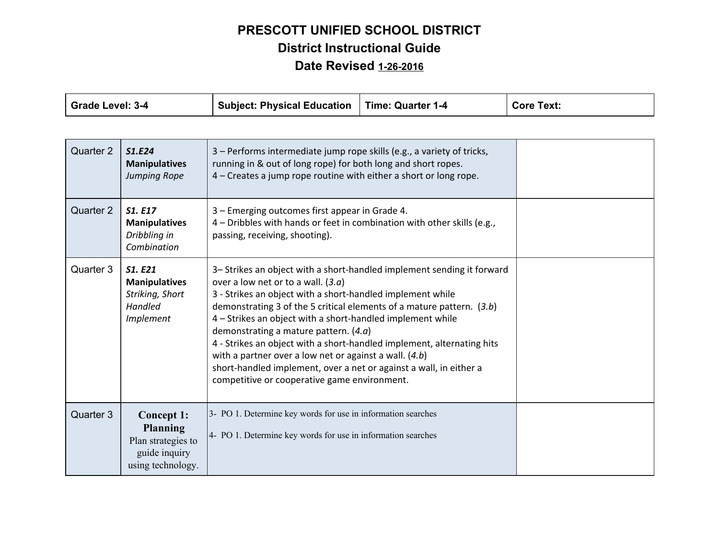| <b>Grade Level: 3-4</b> |                                                                                           | <b>Subject: Physical Education</b>                                                                                                                                                                                                                                                                                                                                                                                                                                                                                                                                                                                           | <b>Time: Quarter 1-4</b> | <b>Core Text:</b> |
|-------------------------|-------------------------------------------------------------------------------------------|------------------------------------------------------------------------------------------------------------------------------------------------------------------------------------------------------------------------------------------------------------------------------------------------------------------------------------------------------------------------------------------------------------------------------------------------------------------------------------------------------------------------------------------------------------------------------------------------------------------------------|--------------------------|-------------------|
|                         |                                                                                           |                                                                                                                                                                                                                                                                                                                                                                                                                                                                                                                                                                                                                              |                          |                   |
| Quarter 2               | S1.E24<br><b>Manipulatives</b><br>Jumping Rope                                            | 3 - Performs intermediate jump rope skills (e.g., a variety of tricks,<br>running in & out of long rope) for both long and short ropes.<br>4 – Creates a jump rope routine with either a short or long rope.                                                                                                                                                                                                                                                                                                                                                                                                                 |                          |                   |
| Quarter 2               | S1. E17<br><b>Manipulatives</b><br>Dribbling in<br>Combination                            | 3 - Emerging outcomes first appear in Grade 4.<br>4 - Dribbles with hands or feet in combination with other skills (e.g.,<br>passing, receiving, shooting).                                                                                                                                                                                                                                                                                                                                                                                                                                                                  |                          |                   |
| Quarter 3               | S1. E21<br><b>Manipulatives</b><br>Striking, Short<br>Handled<br>Implement                | 3- Strikes an object with a short-handled implement sending it forward<br>over a low net or to a wall. $(3.a)$<br>3 - Strikes an object with a short-handled implement while<br>demonstrating 3 of the 5 critical elements of a mature pattern. $(3.b)$<br>4 - Strikes an object with a short-handled implement while<br>demonstrating a mature pattern. $(4.a)$<br>4 - Strikes an object with a short-handled implement, alternating hits<br>with a partner over a low net or against a wall. $(4.b)$<br>short-handled implement, over a net or against a wall, in either a<br>competitive or cooperative game environment. |                          |                   |
| Quarter 3               | Concept 1:<br><b>Planning</b><br>Plan strategies to<br>guide inquiry<br>using technology. | 3- PO 1. Determine key words for use in information searches<br>4- PO 1. Determine key words for use in information searches                                                                                                                                                                                                                                                                                                                                                                                                                                                                                                 |                          |                   |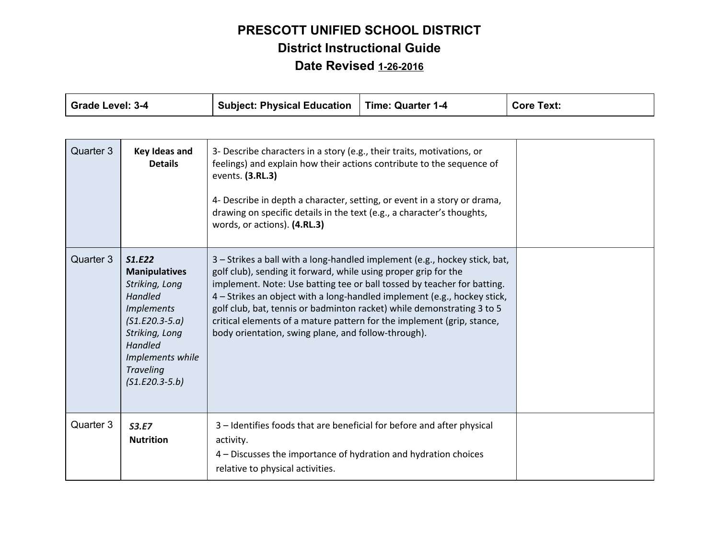| <b>Grade Level: 3-4</b> |                                                                                                                                                                                                      | <b>Subject: Physical Education</b>                                                                                                                                                                                                                                                                                                                                                                                                                                                                              | <b>Time: Quarter 1-4</b> | <b>Core Text:</b> |
|-------------------------|------------------------------------------------------------------------------------------------------------------------------------------------------------------------------------------------------|-----------------------------------------------------------------------------------------------------------------------------------------------------------------------------------------------------------------------------------------------------------------------------------------------------------------------------------------------------------------------------------------------------------------------------------------------------------------------------------------------------------------|--------------------------|-------------------|
|                         |                                                                                                                                                                                                      |                                                                                                                                                                                                                                                                                                                                                                                                                                                                                                                 |                          |                   |
| Quarter 3               | <b>Key Ideas and</b><br><b>Details</b>                                                                                                                                                               | 3- Describe characters in a story (e.g., their traits, motivations, or<br>feelings) and explain how their actions contribute to the sequence of<br>events. (3.RL.3)<br>4- Describe in depth a character, setting, or event in a story or drama,<br>drawing on specific details in the text (e.g., a character's thoughts,<br>words, or actions). (4.RL.3)                                                                                                                                                       |                          |                   |
| Quarter 3               | <b>S1.E22</b><br><b>Manipulatives</b><br>Striking, Long<br>Handled<br><b>Implements</b><br>$(S1.E20.3-5.a)$<br>Striking, Long<br>Handled<br>Implements while<br><b>Traveling</b><br>$(S1.E20.3-5.b)$ | 3 - Strikes a ball with a long-handled implement (e.g., hockey stick, bat,<br>golf club), sending it forward, while using proper grip for the<br>implement. Note: Use batting tee or ball tossed by teacher for batting.<br>4 – Strikes an object with a long-handled implement (e.g., hockey stick,<br>golf club, bat, tennis or badminton racket) while demonstrating 3 to 5<br>critical elements of a mature pattern for the implement (grip, stance,<br>body orientation, swing plane, and follow-through). |                          |                   |
| Quarter 3               | S3.E7<br><b>Nutrition</b>                                                                                                                                                                            | 3 - Identifies foods that are beneficial for before and after physical<br>activity.<br>4 – Discusses the importance of hydration and hydration choices<br>relative to physical activities.                                                                                                                                                                                                                                                                                                                      |                          |                   |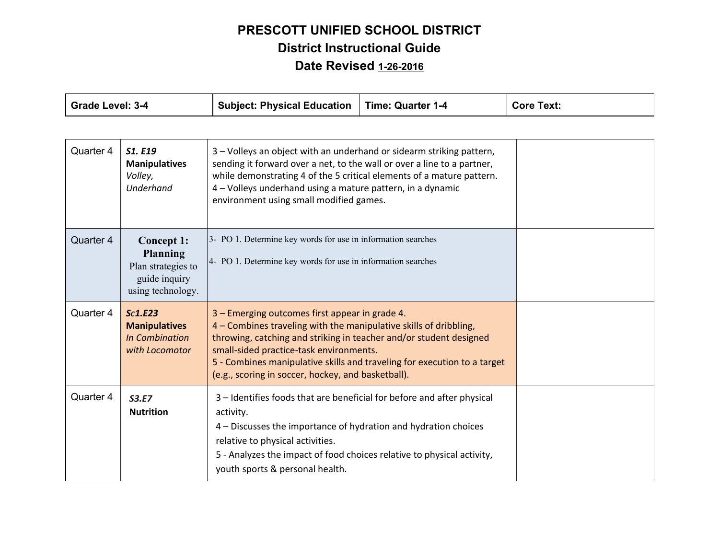| <b>Grade Level: 3-4</b> |                                                                                           | <b>Subject: Physical Education</b>                                                                                                                                                                                                                                                                                                                                     | <b>Time: Quarter 1-4</b> | <b>Core Text:</b> |
|-------------------------|-------------------------------------------------------------------------------------------|------------------------------------------------------------------------------------------------------------------------------------------------------------------------------------------------------------------------------------------------------------------------------------------------------------------------------------------------------------------------|--------------------------|-------------------|
|                         |                                                                                           |                                                                                                                                                                                                                                                                                                                                                                        |                          |                   |
| Quarter 4               | S1. E19<br><b>Manipulatives</b><br>Volley,<br>Underhand                                   | 3 - Volleys an object with an underhand or sidearm striking pattern,<br>sending it forward over a net, to the wall or over a line to a partner,<br>while demonstrating 4 of the 5 critical elements of a mature pattern.<br>4 - Volleys underhand using a mature pattern, in a dynamic<br>environment using small modified games.                                      |                          |                   |
| Quarter 4               | Concept 1:<br><b>Planning</b><br>Plan strategies to<br>guide inquiry<br>using technology. | 3- PO 1. Determine key words for use in information searches<br>4- PO 1. Determine key words for use in information searches                                                                                                                                                                                                                                           |                          |                   |
| Quarter 4               | Sc1.E23<br><b>Manipulatives</b><br><b>In Combination</b><br>with Locomotor                | 3 – Emerging outcomes first appear in grade 4.<br>4 – Combines traveling with the manipulative skills of dribbling,<br>throwing, catching and striking in teacher and/or student designed<br>small-sided practice-task environments.<br>5 - Combines manipulative skills and traveling for execution to a target<br>(e.g., scoring in soccer, hockey, and basketball). |                          |                   |
| Quarter 4               | S3.E7<br><b>Nutrition</b>                                                                 | 3 - Identifies foods that are beneficial for before and after physical<br>activity.<br>4 – Discusses the importance of hydration and hydration choices<br>relative to physical activities.<br>5 - Analyzes the impact of food choices relative to physical activity,<br>youth sports & personal health.                                                                |                          |                   |